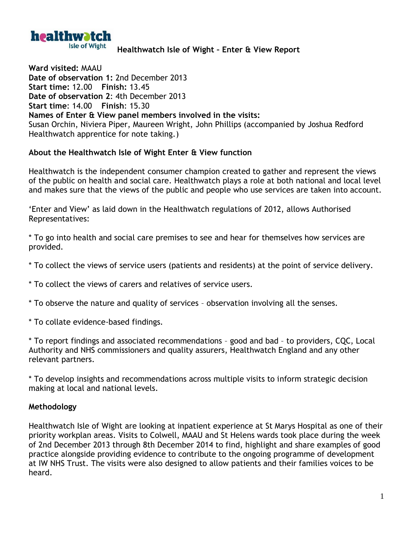

## **Healthwatch Isle of Wight – Enter & View Report**

**Ward visited:** MAAU **Date of observation 1:** 2nd December 2013 **Start time:** 12.00 **Finish:** 13.45 **Date of observation 2**: 4th December 2013 **Start time**: 14.00 **Finish**: 15.30 **Names of Enter & View panel members involved in the visits:** Susan Orchin, Niviera Piper, Maureen Wright, John Phillips (accompanied by Joshua Redford Healthwatch apprentice for note taking.)

## **About the Healthwatch Isle of Wight Enter & View function**

Healthwatch is the independent consumer champion created to gather and represent the views of the public on health and social care. Healthwatch plays a role at both national and local level and makes sure that the views of the public and people who use services are taken into account.

'Enter and View' as laid down in the Healthwatch regulations of 2012, allows Authorised Representatives:

\* To go into health and social care premises to see and hear for themselves how services are provided.

- \* To collect the views of service users (patients and residents) at the point of service delivery.
- \* To collect the views of carers and relatives of service users.
- \* To observe the nature and quality of services observation involving all the senses.
- \* To collate evidence-based findings.

\* To report findings and associated recommendations – good and bad – to providers, CQC, Local Authority and NHS commissioners and quality assurers, Healthwatch England and any other relevant partners.

\* To develop insights and recommendations across multiple visits to inform strategic decision making at local and national levels.

## **Methodology**

Healthwatch Isle of Wight are looking at inpatient experience at St Marys Hospital as one of their priority workplan areas. Visits to Colwell, MAAU and St Helens wards took place during the week of 2nd December 2013 through 8th December 2014 to find, highlight and share examples of good practice alongside providing evidence to contribute to the ongoing programme of development at IW NHS Trust. The visits were also designed to allow patients and their families voices to be heard.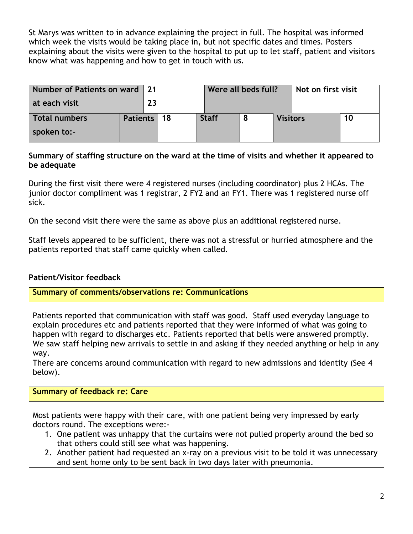St Marys was written to in advance explaining the project in full. The hospital was informed which week the visits would be taking place in, but not specific dates and times. Posters explaining about the visits were given to the hospital to put up to let staff, patient and visitors know what was happening and how to get in touch with us.

| Number of Patients on ward 21 |               |    |              | Were all beds full? |                 |  | Not on first visit |  |
|-------------------------------|---------------|----|--------------|---------------------|-----------------|--|--------------------|--|
| at each visit                 |               | 23 |              |                     |                 |  |                    |  |
| <b>Total numbers</b>          | Patients   18 |    | <b>Staff</b> |                     | <b>Visitors</b> |  | 10                 |  |
| spoken to:-                   |               |    |              |                     |                 |  |                    |  |

## **Summary of staffing structure on the ward at the time of visits and whether it appeared to be adequate**

During the first visit there were 4 registered nurses (including coordinator) plus 2 HCAs. The junior doctor compliment was 1 registrar, 2 FY2 and an FY1. There was 1 registered nurse off sick.

On the second visit there were the same as above plus an additional registered nurse.

Staff levels appeared to be sufficient, there was not a stressful or hurried atmosphere and the patients reported that staff came quickly when called.

# **Patient/Visitor feedback**

**Summary of comments/observations re: Communications**

Patients reported that communication with staff was good. Staff used everyday language to explain procedures etc and patients reported that they were informed of what was going to happen with regard to discharges etc. Patients reported that bells were answered promptly. We saw staff helping new arrivals to settle in and asking if they needed anything or help in any way.

There are concerns around communication with regard to new admissions and identity (See 4 below).

# **Summary of feedback re: Care**

Most patients were happy with their care, with one patient being very impressed by early doctors round. The exceptions were:-

- 1. One patient was unhappy that the curtains were not pulled properly around the bed so that others could still see what was happening.
- 2. Another patient had requested an x-ray on a previous visit to be told it was unnecessary and sent home only to be sent back in two days later with pneumonia.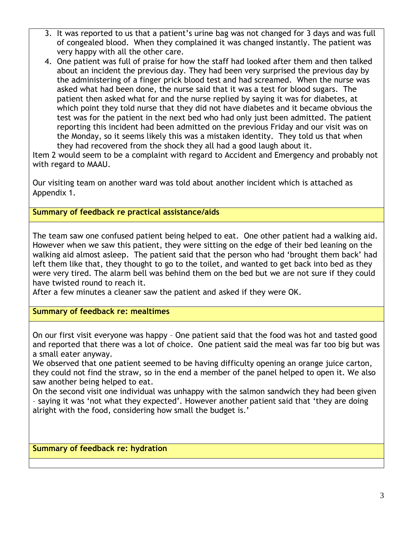- 3. It was reported to us that a patient's urine bag was not changed for 3 days and was full of congealed blood. When they complained it was changed instantly. The patient was very happy with all the other care.
- 4. One patient was full of praise for how the staff had looked after them and then talked about an incident the previous day. They had been very surprised the previous day by the administering of a finger prick blood test and had screamed. When the nurse was asked what had been done, the nurse said that it was a test for blood sugars. The patient then asked what for and the nurse replied by saying it was for diabetes, at which point they told nurse that they did not have diabetes and it became obvious the test was for the patient in the next bed who had only just been admitted. The patient reporting this incident had been admitted on the previous Friday and our visit was on the Monday, so it seems likely this was a mistaken identity. They told us that when they had recovered from the shock they all had a good laugh about it.

Item 2 would seem to be a complaint with regard to Accident and Emergency and probably not with regard to MAAU.

Our visiting team on another ward was told about another incident which is attached as Appendix 1.

**Summary of feedback re practical assistance/aids**

The team saw one confused patient being helped to eat. One other patient had a walking aid. However when we saw this patient, they were sitting on the edge of their bed leaning on the walking aid almost asleep. The patient said that the person who had 'brought them back' had left them like that, they thought to go to the toilet, and wanted to get back into bed as they were very tired. The alarm bell was behind them on the bed but we are not sure if they could have twisted round to reach it.

After a few minutes a cleaner saw the patient and asked if they were OK.

**Summary of feedback re: mealtimes**

On our first visit everyone was happy – One patient said that the food was hot and tasted good and reported that there was a lot of choice. One patient said the meal was far too big but was a small eater anyway.

We observed that one patient seemed to be having difficulty opening an orange juice carton, they could not find the straw, so in the end a member of the panel helped to open it. We also saw another being helped to eat.

On the second visit one individual was unhappy with the salmon sandwich they had been given – saying it was 'not what they expected'. However another patient said that 'they are doing alright with the food, considering how small the budget is.'

**Summary of feedback re: hydration**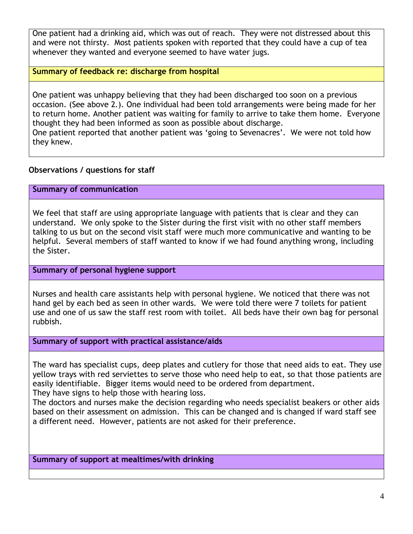One patient had a drinking aid, which was out of reach. They were not distressed about this and were not thirsty. Most patients spoken with reported that they could have a cup of tea whenever they wanted and everyone seemed to have water jugs.

# **Summary of feedback re: discharge from hospital**

One patient was unhappy believing that they had been discharged too soon on a previous occasion. (See above 2.). One individual had been told arrangements were being made for her to return home. Another patient was waiting for family to arrive to take them home. Everyone thought they had been informed as soon as possible about discharge.

One patient reported that another patient was 'going to Sevenacres'. We were not told how they knew.

## **Observations / questions for staff**

## **Summary of communication**

We feel that staff are using appropriate language with patients that is clear and they can understand. We only spoke to the Sister during the first visit with no other staff members talking to us but on the second visit staff were much more communicative and wanting to be helpful. Several members of staff wanted to know if we had found anything wrong, including the Sister.

#### **Summary of personal hygiene support**

Nurses and health care assistants help with personal hygiene. We noticed that there was not hand gel by each bed as seen in other wards. We were told there were 7 toilets for patient use and one of us saw the staff rest room with toilet. All beds have their own bag for personal rubbish.

#### **Summary of support with practical assistance/aids**

The ward has specialist cups, deep plates and cutlery for those that need aids to eat. They use yellow trays with red serviettes to serve those who need help to eat, so that those patients are easily identifiable. Bigger items would need to be ordered from department. They have signs to help those with hearing loss.

The doctors and nurses make the decision regarding who needs specialist beakers or other aids based on their assessment on admission. This can be changed and is changed if ward staff see a different need. However, patients are not asked for their preference.

**Summary of support at mealtimes/with drinking**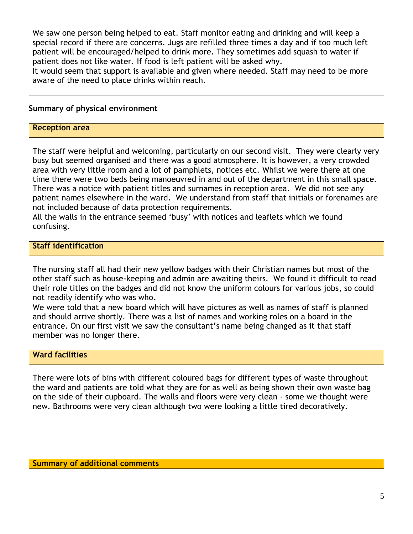We saw one person being helped to eat. Staff monitor eating and drinking and will keep a special record if there are concerns. Jugs are refilled three times a day and if too much left patient will be encouraged/helped to drink more. They sometimes add squash to water if patient does not like water. If food is left patient will be asked why.

It would seem that support is available and given where needed. Staff may need to be more aware of the need to place drinks within reach.

# **Summary of physical environment**

## **Reception area**

The staff were helpful and welcoming, particularly on our second visit. They were clearly very busy but seemed organised and there was a good atmosphere. It is however, a very crowded area with very little room and a lot of pamphlets, notices etc. Whilst we were there at one time there were two beds being manoeuvred in and out of the department in this small space. There was a notice with patient titles and surnames in reception area. We did not see any patient names elsewhere in the ward. We understand from staff that initials or forenames are not included because of data protection requirements.

All the walls in the entrance seemed 'busy' with notices and leaflets which we found confusing.

# **Staff identification**

The nursing staff all had their new yellow badges with their Christian names but most of the other staff such as house-keeping and admin are awaiting theirs. We found it difficult to read their role titles on the badges and did not know the uniform colours for various jobs, so could not readily identify who was who.

We were told that a new board which will have pictures as well as names of staff is planned and should arrive shortly. There was a list of names and working roles on a board in the entrance. On our first visit we saw the consultant's name being changed as it that staff member was no longer there.

## **Ward facilities**

There were lots of bins with different coloured bags for different types of waste throughout the ward and patients are told what they are for as well as being shown their own waste bag on the side of their cupboard. The walls and floors were very clean - some we thought were new. Bathrooms were very clean although two were looking a little tired decoratively.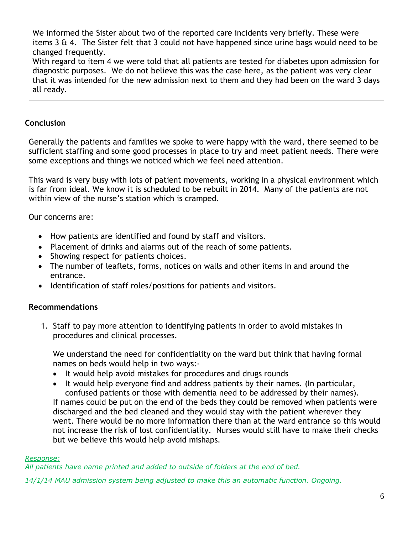We informed the Sister about two of the reported care incidents very briefly. These were items  $3 \text{ ft } 4$ . The Sister felt that  $3$  could not have happened since urine bags would need to be changed frequently.

With regard to item 4 we were told that all patients are tested for diabetes upon admission for diagnostic purposes. We do not believe this was the case here, as the patient was very clear that it was intended for the new admission next to them and they had been on the ward 3 days all ready.

# **Conclusion**

Generally the patients and families we spoke to were happy with the ward, there seemed to be sufficient staffing and some good processes in place to try and meet patient needs. There were some exceptions and things we noticed which we feel need attention.

This ward is very busy with lots of patient movements, working in a physical environment which is far from ideal. We know it is scheduled to be rebuilt in 2014. Many of the patients are not within view of the nurse's station which is cramped.

Our concerns are:

- How patients are identified and found by staff and visitors.
- Placement of drinks and alarms out of the reach of some patients.
- Showing respect for patients choices.
- The number of leaflets, forms, notices on walls and other items in and around the entrance.
- Identification of staff roles/positions for patients and visitors.

## **Recommendations**

1. Staff to pay more attention to identifying patients in order to avoid mistakes in procedures and clinical processes.

We understand the need for confidentiality on the ward but think that having formal names on beds would help in two ways:-

- It would help avoid mistakes for procedures and drugs rounds
- It would help everyone find and address patients by their names. (In particular, confused patients or those with dementia need to be addressed by their names).

If names could be put on the end of the beds they could be removed when patients were discharged and the bed cleaned and they would stay with the patient wherever they went. There would be no more information there than at the ward entrance so this would not increase the risk of lost confidentiality. Nurses would still have to make their checks but we believe this would help avoid mishaps.

#### *Response:*

*All patients have name printed and added to outside of folders at the end of bed.* 

*14/1/14 MAU admission system being adjusted to make this an automatic function. Ongoing.*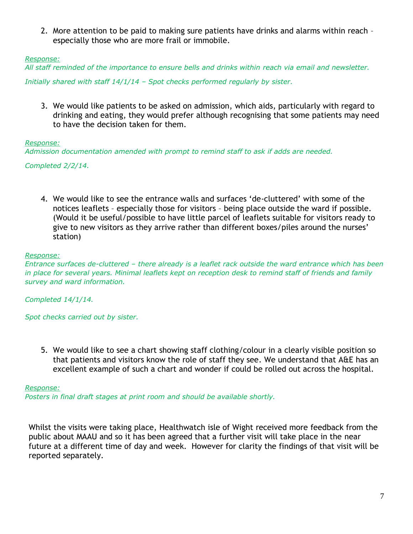2. More attention to be paid to making sure patients have drinks and alarms within reach – especially those who are more frail or immobile.

#### *Response:*

*All staff reminded of the importance to ensure bells and drinks within reach via email and newsletter.*

*Initially shared with staff 14/1/14 – Spot checks performed regularly by sister.*

3. We would like patients to be asked on admission, which aids, particularly with regard to drinking and eating, they would prefer although recognising that some patients may need to have the decision taken for them.

#### *Response:*

*Admission documentation amended with prompt to remind staff to ask if adds are needed.*

*Completed 2/2/14.*

4. We would like to see the entrance walls and surfaces 'de-cluttered' with some of the notices leaflets – especially those for visitors – being place outside the ward if possible. (Would it be useful/possible to have little parcel of leaflets suitable for visitors ready to give to new visitors as they arrive rather than different boxes/piles around the nurses' station)

#### *Response:*

*Entrance surfaces de-cluttered – there already is a leaflet rack outside the ward entrance which has been in place for several years. Minimal leaflets kept on reception desk to remind staff of friends and family survey and ward information.* 

*Completed 14/1/14.*

*Spot checks carried out by sister.*

5. We would like to see a chart showing staff clothing/colour in a clearly visible position so that patients and visitors know the role of staff they see. We understand that A&E has an excellent example of such a chart and wonder if could be rolled out across the hospital.

#### *Response:*

*Posters in final draft stages at print room and should be available shortly.*

Whilst the visits were taking place, Healthwatch isle of Wight received more feedback from the public about MAAU and so it has been agreed that a further visit will take place in the near future at a different time of day and week. However for clarity the findings of that visit will be reported separately.